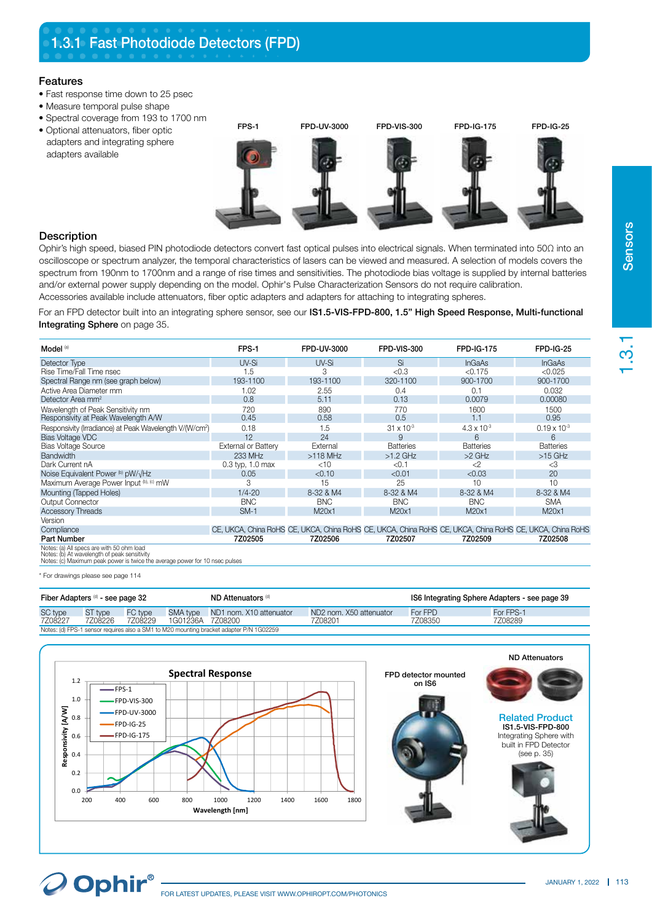## Features

- Fast response time down to 25 psec
- Measure temporal pulse shape
- Spectral coverage from 193 to 1700 nm
- Optional attenuators, fiber optic adapters and integrating sphere adapters available FPS-1 FPD-UV-3000 FPD-VIS-300 FPD-IG-175 FPD-IG-25

## **Description**

Ophir's high speed, biased PIN photodiode detectors convert fast optical pulses into electrical signals. When terminated into 50Ω into an oscilloscope or spectrum analyzer, the temporal characteristics of lasers can be viewed and measured. A selection of models covers the spectrum from 190nm to 1700nm and a range of rise times and sensitivities. The photodiode bias voltage is supplied by internal batteries and/or external power supply depending on the model. Ophir's Pulse Characterization Sensors do not require calibration. Accessories available include attenuators, fiber optic adapters and adapters for attaching to integrating spheres.

For an FPD detector built into an integrating sphere sensor, see our IS1.5-VIS-FPD-800, 1.5" High Speed Response, Multi-functional Integrating Sphere on page 35.

| Model <sup>(a)</sup>                                                                       | FPS-1                | FPD-UV-3000 | FPD-VIS-300         | <b>FPD-IG-175</b>    | <b>FPD-IG-25</b>                                                                                         |
|--------------------------------------------------------------------------------------------|----------------------|-------------|---------------------|----------------------|----------------------------------------------------------------------------------------------------------|
| Detector Type                                                                              | UV-Si                | UV-Si       | Si                  | <b>InGaAs</b>        | <b>InGaAs</b>                                                                                            |
| Rise Time/Fall Time nsec                                                                   | 1.5                  | 3           | < 0.3               | < 0.175              | < 0.025                                                                                                  |
| Spectral Range nm (see graph below)                                                        | 193-1100             | 193-1100    | 320-1100            | 900-1700             | 900-1700                                                                                                 |
| Active Area Diameter mm                                                                    | 1.02                 | 2.55        | 0.4                 | 0.1                  | 0.032                                                                                                    |
| Detector Area mm <sup>2</sup>                                                              | 0.8                  | 5.11        | 0.13                | 0.0079               | 0.00080                                                                                                  |
| Wavelength of Peak Sensitivity nm                                                          | 720                  | 890         | 770                 | 1600                 | 1500                                                                                                     |
| Responsivity at Peak Wavelength A/W                                                        | 0.45                 | 0.58        | 0.5                 | 1.1                  | 0.95                                                                                                     |
| Responsivity (Irradiance) at Peak Wavelength V/(W/cm <sup>2</sup> )                        | 0.18                 | 1.5         | $31 \times 10^{-3}$ | $4.3 \times 10^{-3}$ | $0.19 \times 10^{-3}$                                                                                    |
| Bias Voltage VDC                                                                           | 12                   | 24          | 9                   | 6                    | $6\overline{6}$                                                                                          |
| <b>Bias Voltage Source</b>                                                                 | External or Battery  | External    | <b>Batteries</b>    | <b>Batteries</b>     | <b>Batteries</b>                                                                                         |
| <b>Bandwidth</b>                                                                           | 233 MHz              | $>118$ MHz  | $>1.2$ GHz          | $>2$ GHz             | $>15$ GHz                                                                                                |
| Dark Current nA                                                                            | $0.3$ typ. $1.0$ max | $<$ 10      | < 0.1               | $\langle 2$          | $<$ 3                                                                                                    |
| Noise Equivalent Power (b) pW/ $\sqrt{Hz}$                                                 | 0.05                 | < 0.10      | < 0.01              | < 0.03               | 20                                                                                                       |
| Maximum Average Power Input (b), (c) mW                                                    | 3                    | 15          | 25                  | 10                   | 10                                                                                                       |
| Mounting (Tapped Holes)                                                                    | $1/4 - 20$           | 8-32 & M4   | 8-32 & M4           | 8-32 & M4            | 8-32 & M4                                                                                                |
| <b>Output Connector</b>                                                                    | <b>BNC</b>           | <b>BNC</b>  | <b>BNC</b>          | <b>BNC</b>           | <b>SMA</b>                                                                                               |
| <b>Accessory Threads</b>                                                                   | $SM-1$               | M20x1       | M20x1               | M20x1                | M20x1                                                                                                    |
| Version                                                                                    |                      |             |                     |                      |                                                                                                          |
| Compliance                                                                                 |                      |             |                     |                      | CE, UKCA, China RoHS CE, UKCA, China RoHS CE, UKCA, China RoHS CE, UKCA, China RoHS CE, UKCA, China RoHS |
| <b>Part Number</b>                                                                         | 7Z02505              | 7Z02506     | 7Z02507             | 7Z02509              | 7Z02508                                                                                                  |
| Notes: (a) All specs are with 50 ohm load<br>Matao, (b) At una planette of paolinapolitics |                      |             |                     |                      |                                                                                                          |

Notes: (b) At wavelength of peak sensitivity Notes: (c) Maximum peak power is twice the average power for 10 nsec pulses

\* For drawings please see page 114

 $O$  Ophir $^{\circ}$ 

| Fiber Adapters (d) - see page 32                                                        |         |         |                  | ND Attenuators (d)               |                         | IS6 Integrating Sphere Adapters - see page 39 |           |  |  |  |
|-----------------------------------------------------------------------------------------|---------|---------|------------------|----------------------------------|-------------------------|-----------------------------------------------|-----------|--|--|--|
| SC type                                                                                 | ST type | FC type |                  | SMA type ND1 nom. X10 attenuator | ND2 nom. X50 attenuator | For FPD                                       | For FPS-1 |  |  |  |
| 7Z08227                                                                                 | 7708226 | 7708229 | 1G01236A 7Z08200 |                                  | 7Z08201                 | 7Z08350                                       | 7Z08289   |  |  |  |
| Notes: (d) FPS-1 sensor requires also a SM1 to M20 mounting bracket adapter P/N 1G02259 |         |         |                  |                                  |                         |                                               |           |  |  |  |